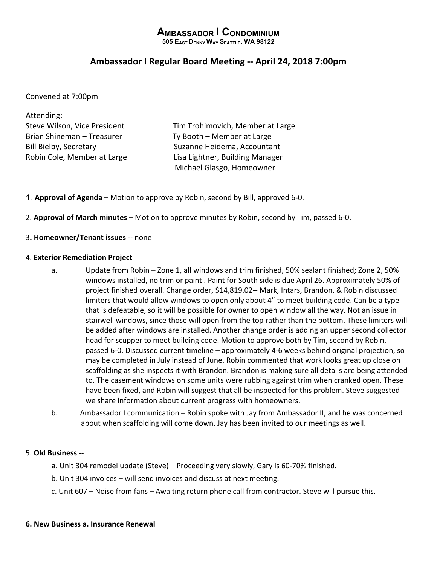# **AMBASSADOR I CONDOMINIUM**

**505 EAST DENNY WAY SEATTLE, WA 98122**

## **Ambassador I Regular Board Meeting -- April 24, 2018 7:00pm**

Convened at 7:00pm

| Attending:                    |                                  |
|-------------------------------|----------------------------------|
| Steve Wilson, Vice President  | Tim Trohimovich, Member at Large |
| Brian Shineman - Treasurer    | Ty Booth - Member at Large       |
| <b>Bill Bielby, Secretary</b> | Suzanne Heidema, Accountant      |
| Robin Cole, Member at Large   | Lisa Lightner, Building Manager  |
|                               | Michael Glasgo, Homeowner        |

- 1. **Approval of Agenda** Motion to approve by Robin, second by Bill, approved 6-0.
- 2. **Approval of March minutes** Motion to approve minutes by Robin, second by Tim, passed 6-0.
- 3**. Homeowner/Tenant issues** -- none

#### 4. **Exterior Remediation Project**

- a. Update from Robin Zone 1, all windows and trim finished, 50% sealant finished; Zone 2, 50% windows installed, no trim or paint . Paint for South side is due April 26. Approximately 50% of project finished overall. Change order, \$14,819.02-- Mark, Intars, Brandon, & Robin discussed limiters that would allow windows to open only about 4" to meet building code. Can be a type that is defeatable, so it will be possible for owner to open window all the way. Not an issue in stairwell windows, since those will open from the top rather than the bottom. These limiters will be added after windows are installed. Another change order is adding an upper second collector head for scupper to meet building code. Motion to approve both by Tim, second by Robin, passed 6-0. Discussed current timeline – approximately 4-6 weeks behind original projection, so may be completed in July instead of June. Robin commented that work looks great up close on scaffolding as she inspects it with Brandon. Brandon is making sure all details are being attended to. The casement windows on some units were rubbing against trim when cranked open. These have been fixed, and Robin will suggest that all be inspected for this problem. Steve suggested we share information about current progress with homeowners.
- b. Ambassador I communication Robin spoke with Jay from Ambassador II, and he was concerned about when scaffolding will come down. Jay has been invited to our meetings as well.

#### 5. **Old Business --**

- a. Unit 304 remodel update (Steve) Proceeding very slowly, Gary is 60-70% finished.
- b. Unit 304 invoices will send invoices and discuss at next meeting.
- c. Unit 607 Noise from fans Awaiting return phone call from contractor. Steve will pursue this.